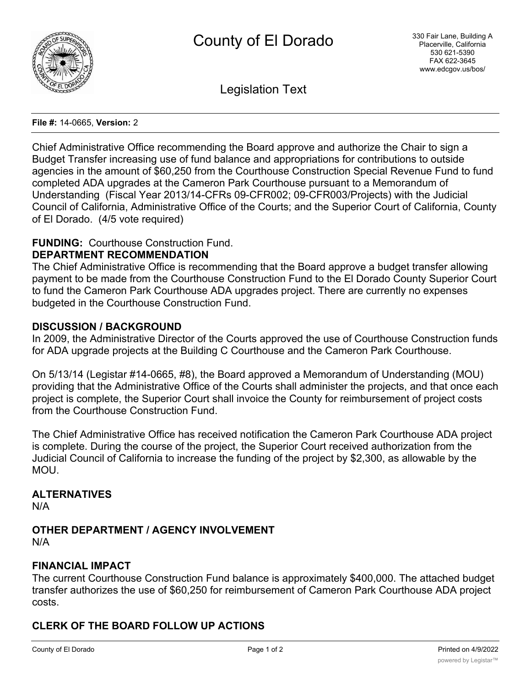

Legislation Text

#### **File #:** 14-0665, **Version:** 2

Chief Administrative Office recommending the Board approve and authorize the Chair to sign a Budget Transfer increasing use of fund balance and appropriations for contributions to outside agencies in the amount of \$60,250 from the Courthouse Construction Special Revenue Fund to fund completed ADA upgrades at the Cameron Park Courthouse pursuant to a Memorandum of Understanding (Fiscal Year 2013/14-CFRs 09-CFR002; 09-CFR003/Projects) with the Judicial Council of California, Administrative Office of the Courts; and the Superior Court of California, County of El Dorado. (4/5 vote required)

### **FUNDING:** Courthouse Construction Fund.

#### **DEPARTMENT RECOMMENDATION**

The Chief Administrative Office is recommending that the Board approve a budget transfer allowing payment to be made from the Courthouse Construction Fund to the El Dorado County Superior Court to fund the Cameron Park Courthouse ADA upgrades project. There are currently no expenses budgeted in the Courthouse Construction Fund.

#### **DISCUSSION / BACKGROUND**

In 2009, the Administrative Director of the Courts approved the use of Courthouse Construction funds for ADA upgrade projects at the Building C Courthouse and the Cameron Park Courthouse.

On 5/13/14 (Legistar #14-0665, #8), the Board approved a Memorandum of Understanding (MOU) providing that the Administrative Office of the Courts shall administer the projects, and that once each project is complete, the Superior Court shall invoice the County for reimbursement of project costs from the Courthouse Construction Fund.

The Chief Administrative Office has received notification the Cameron Park Courthouse ADA project is complete. During the course of the project, the Superior Court received authorization from the Judicial Council of California to increase the funding of the project by \$2,300, as allowable by the MOU.

### **ALTERNATIVES**

N/A

**OTHER DEPARTMENT / AGENCY INVOLVEMENT** N/A

#### **FINANCIAL IMPACT**

The current Courthouse Construction Fund balance is approximately \$400,000. The attached budget transfer authorizes the use of \$60,250 for reimbursement of Cameron Park Courthouse ADA project costs.

# **CLERK OF THE BOARD FOLLOW UP ACTIONS**